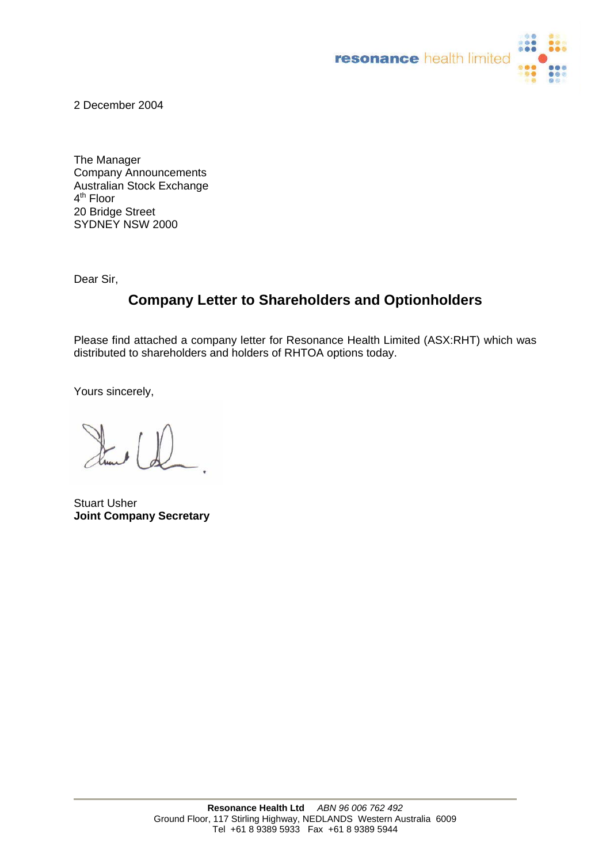

2 December 2004

The Manager Company Announcements Australian Stock Exchange 4<sup>th</sup> Floor 20 Bridge Street SYDNEY NSW 2000

Dear Sir,

## **Company Letter to Shareholders and Optionholders**

Please find attached a company letter for Resonance Health Limited (ASX:RHT) which was distributed to shareholders and holders of RHTOA options today.

Yours sincerely,

Stuart Usher **Joint Company Secretary**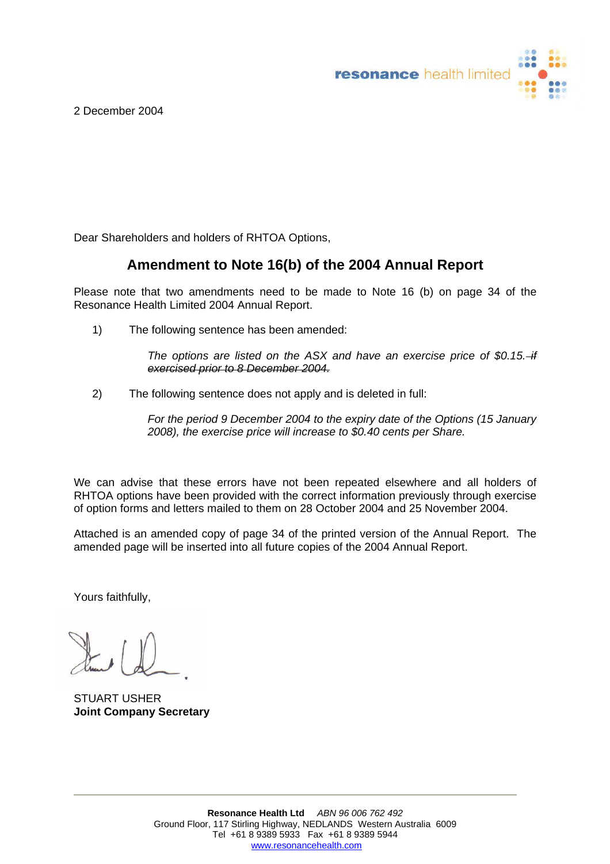resonance health limited

2 December 2004

Dear Shareholders and holders of RHTOA Options,

## **Amendment to Note 16(b) of the 2004 Annual Report**

Please note that two amendments need to be made to Note 16 (b) on page 34 of the Resonance Health Limited 2004 Annual Report.

1) The following sentence has been amended:

*The options are listed on the ASX and have an exercise price of \$0.15. if exercised prior to 8 December 2004.*

2) The following sentence does not apply and is deleted in full:

*For the period 9 December 2004 to the expiry date of the Options (15 January 2008), the exercise price will increase to \$0.40 cents per Share.* 

We can advise that these errors have not been repeated elsewhere and all holders of RHTOA options have been provided with the correct information previously through exercise of option forms and letters mailed to them on 28 October 2004 and 25 November 2004.

Attached is an amended copy of page 34 of the printed version of the Annual Report. The amended page will be inserted into all future copies of the 2004 Annual Report.

Yours faithfully,

STUART USHER **Joint Company Secretary**